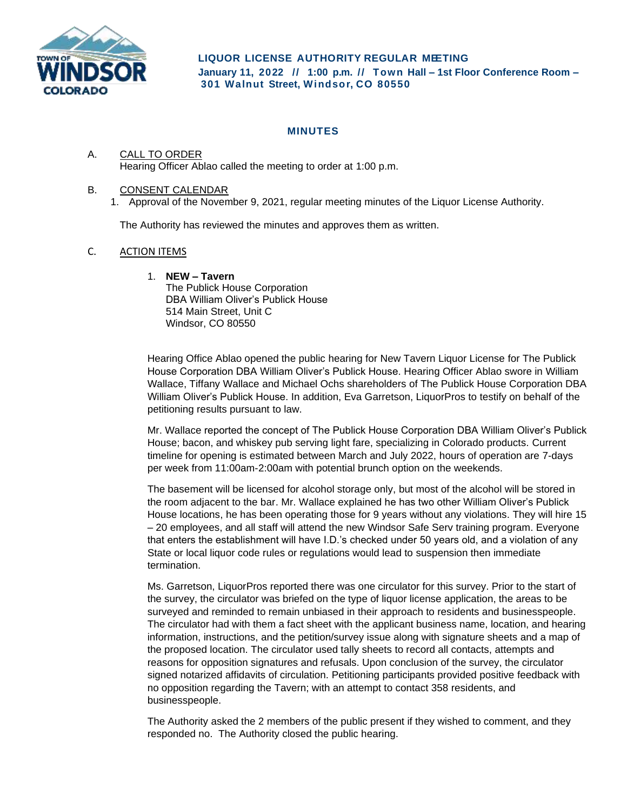

**LIQUOR LICENSE AUTHORITY REGULAR MEETING January 11, 2022 // 1:00 p. m. // Town Hall – 1st Floor Conference Room – 301 Walnut Street, Windsor, CO 80550**

# **MINUTES**

## A. CALL TO ORDER Hearing Officer Ablao called the meeting to order at 1:00 p.m.

### B. CONSENT CALENDAR

1. Approval of the November 9, 2021, regular meeting minutes of the Liquor License Authority.

The Authority has reviewed the minutes and approves them as written.

### C. ACTION ITEMS

### 1. **NEW – Tavern**

The Publick House Corporation DBA William Oliver's Publick House 514 Main Street, Unit C Windsor, CO 80550

Hearing Office Ablao opened the public hearing for New Tavern Liquor License for The Publick House Corporation DBA William Oliver's Publick House. Hearing Officer Ablao swore in William Wallace, Tiffany Wallace and Michael Ochs shareholders of The Publick House Corporation DBA William Oliver's Publick House. In addition, Eva Garretson, LiquorPros to testify on behalf of the petitioning results pursuant to law.

Mr. Wallace reported the concept of The Publick House Corporation DBA William Oliver's Publick House; bacon, and whiskey pub serving light fare, specializing in Colorado products. Current timeline for opening is estimated between March and July 2022, hours of operation are 7-days per week from 11:00am-2:00am with potential brunch option on the weekends.

The basement will be licensed for alcohol storage only, but most of the alcohol will be stored in the room adjacent to the bar. Mr. Wallace explained he has two other William Oliver's Publick House locations, he has been operating those for 9 years without any violations. They will hire 15 – 20 employees, and all staff will attend the new Windsor Safe Serv training program. Everyone that enters the establishment will have I.D.'s checked under 50 years old, and a violation of any State or local liquor code rules or regulations would lead to suspension then immediate termination.

Ms. Garretson, LiquorPros reported there was one circulator for this survey. Prior to the start of the survey, the circulator was briefed on the type of liquor license application, the areas to be surveyed and reminded to remain unbiased in their approach to residents and businesspeople. The circulator had with them a fact sheet with the applicant business name, location, and hearing information, instructions, and the petition/survey issue along with signature sheets and a map of the proposed location. The circulator used tally sheets to record all contacts, attempts and reasons for opposition signatures and refusals. Upon conclusion of the survey, the circulator signed notarized affidavits of circulation. Petitioning participants provided positive feedback with no opposition regarding the Tavern; with an attempt to contact 358 residents, and businesspeople.

The Authority asked the 2 members of the public present if they wished to comment, and they responded no. The Authority closed the public hearing.